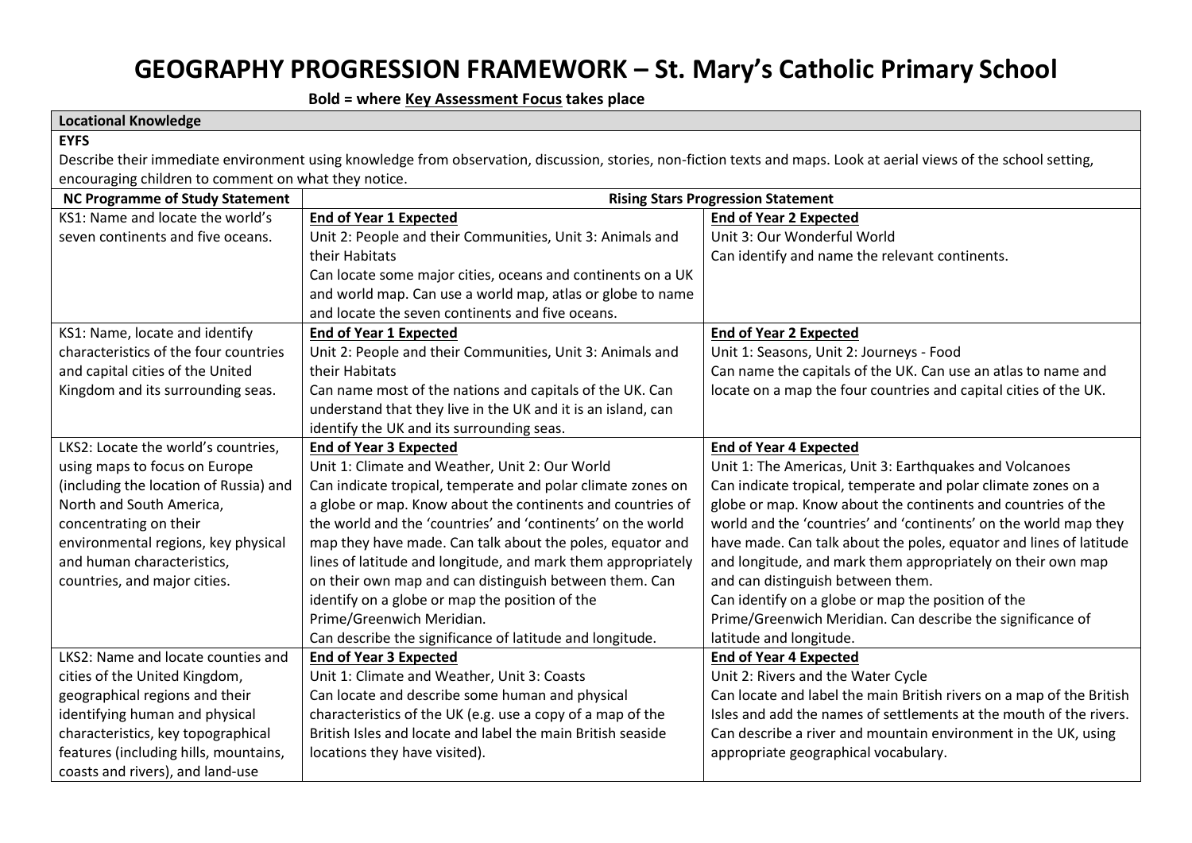# **GEOGRAPHY PROGRESSION FRAMEWORK – St. Mary's Catholic Primary School**

 **Bold = where Key Assessment Focus takes place**

| <b>Locational Knowledge</b>                          |                                                                                                                                                                     |                                                                      |
|------------------------------------------------------|---------------------------------------------------------------------------------------------------------------------------------------------------------------------|----------------------------------------------------------------------|
| <b>EYFS</b>                                          |                                                                                                                                                                     |                                                                      |
|                                                      | Describe their immediate environment using knowledge from observation, discussion, stories, non-fiction texts and maps. Look at aerial views of the school setting, |                                                                      |
| encouraging children to comment on what they notice. |                                                                                                                                                                     |                                                                      |
| <b>NC Programme of Study Statement</b>               |                                                                                                                                                                     | <b>Rising Stars Progression Statement</b>                            |
| KS1: Name and locate the world's                     | <b>End of Year 1 Expected</b>                                                                                                                                       | <b>End of Year 2 Expected</b>                                        |
| seven continents and five oceans.                    | Unit 2: People and their Communities, Unit 3: Animals and                                                                                                           | Unit 3: Our Wonderful World                                          |
|                                                      | their Habitats                                                                                                                                                      | Can identify and name the relevant continents.                       |
|                                                      | Can locate some major cities, oceans and continents on a UK                                                                                                         |                                                                      |
|                                                      | and world map. Can use a world map, atlas or globe to name                                                                                                          |                                                                      |
|                                                      | and locate the seven continents and five oceans.                                                                                                                    |                                                                      |
| KS1: Name, locate and identify                       | <b>End of Year 1 Expected</b>                                                                                                                                       | <b>End of Year 2 Expected</b>                                        |
| characteristics of the four countries                | Unit 2: People and their Communities, Unit 3: Animals and                                                                                                           | Unit 1: Seasons, Unit 2: Journeys - Food                             |
| and capital cities of the United                     | their Habitats                                                                                                                                                      | Can name the capitals of the UK. Can use an atlas to name and        |
| Kingdom and its surrounding seas.                    | Can name most of the nations and capitals of the UK. Can                                                                                                            | locate on a map the four countries and capital cities of the UK.     |
|                                                      | understand that they live in the UK and it is an island, can                                                                                                        |                                                                      |
|                                                      | identify the UK and its surrounding seas.                                                                                                                           |                                                                      |
| LKS2: Locate the world's countries,                  | <b>End of Year 3 Expected</b>                                                                                                                                       | <b>End of Year 4 Expected</b>                                        |
| using maps to focus on Europe                        | Unit 1: Climate and Weather, Unit 2: Our World                                                                                                                      | Unit 1: The Americas, Unit 3: Earthquakes and Volcanoes              |
| (including the location of Russia) and               | Can indicate tropical, temperate and polar climate zones on                                                                                                         | Can indicate tropical, temperate and polar climate zones on a        |
| North and South America,                             | a globe or map. Know about the continents and countries of                                                                                                          | globe or map. Know about the continents and countries of the         |
| concentrating on their                               | the world and the 'countries' and 'continents' on the world                                                                                                         | world and the 'countries' and 'continents' on the world map they     |
| environmental regions, key physical                  | map they have made. Can talk about the poles, equator and                                                                                                           | have made. Can talk about the poles, equator and lines of latitude   |
| and human characteristics,                           | lines of latitude and longitude, and mark them appropriately                                                                                                        | and longitude, and mark them appropriately on their own map          |
| countries, and major cities.                         | on their own map and can distinguish between them. Can                                                                                                              | and can distinguish between them.                                    |
|                                                      | identify on a globe or map the position of the                                                                                                                      | Can identify on a globe or map the position of the                   |
|                                                      | Prime/Greenwich Meridian.                                                                                                                                           | Prime/Greenwich Meridian. Can describe the significance of           |
|                                                      | Can describe the significance of latitude and longitude.                                                                                                            | latitude and longitude.                                              |
| LKS2: Name and locate counties and                   | <b>End of Year 3 Expected</b>                                                                                                                                       | <b>End of Year 4 Expected</b>                                        |
| cities of the United Kingdom,                        | Unit 1: Climate and Weather, Unit 3: Coasts                                                                                                                         | Unit 2: Rivers and the Water Cycle                                   |
| geographical regions and their                       | Can locate and describe some human and physical                                                                                                                     | Can locate and label the main British rivers on a map of the British |
| identifying human and physical                       | characteristics of the UK (e.g. use a copy of a map of the                                                                                                          | Isles and add the names of settlements at the mouth of the rivers.   |
| characteristics, key topographical                   | British Isles and locate and label the main British seaside                                                                                                         | Can describe a river and mountain environment in the UK, using       |
| features (including hills, mountains,                | locations they have visited).                                                                                                                                       | appropriate geographical vocabulary.                                 |
| coasts and rivers), and land-use                     |                                                                                                                                                                     |                                                                      |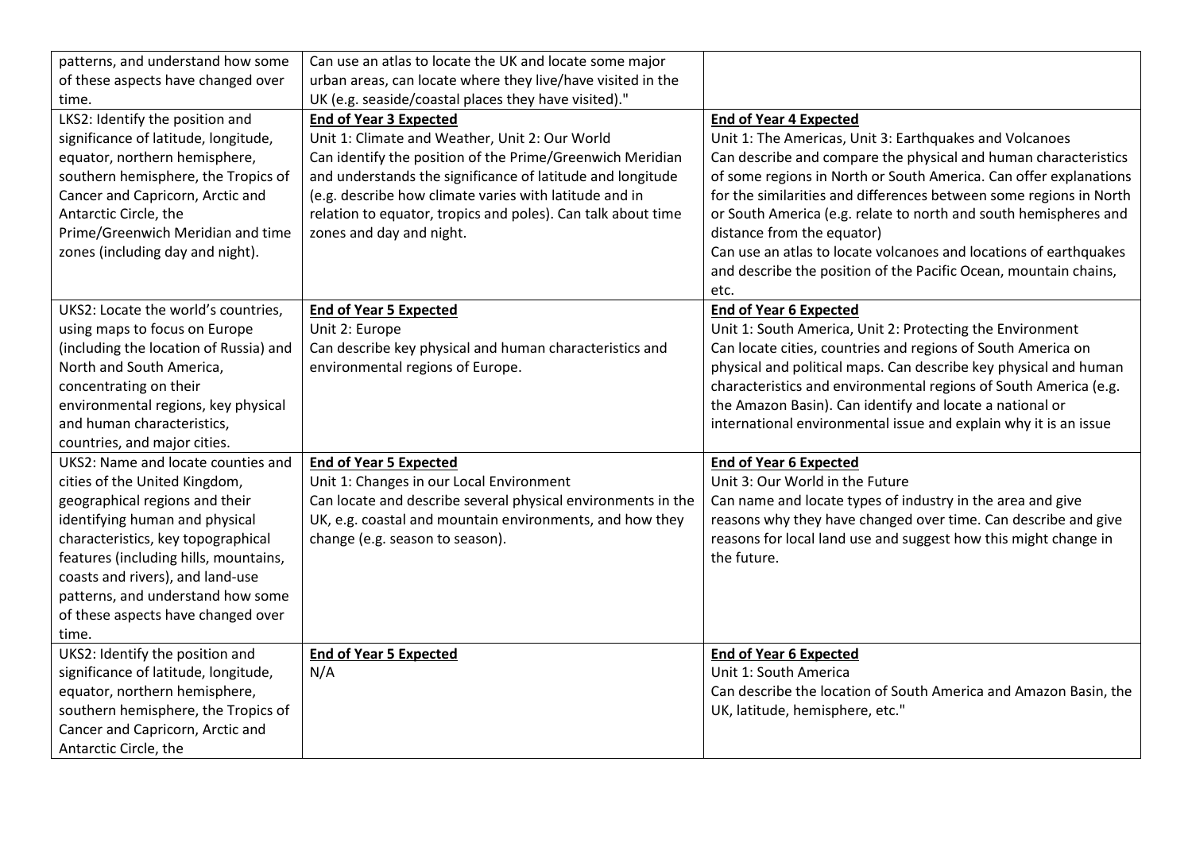| patterns, and understand how some      | Can use an atlas to locate the UK and locate some major      |                                                                    |
|----------------------------------------|--------------------------------------------------------------|--------------------------------------------------------------------|
| of these aspects have changed over     | urban areas, can locate where they live/have visited in the  |                                                                    |
| time.                                  | UK (e.g. seaside/coastal places they have visited)."         |                                                                    |
| LKS2: Identify the position and        | <b>End of Year 3 Expected</b>                                | <b>End of Year 4 Expected</b>                                      |
| significance of latitude, longitude,   | Unit 1: Climate and Weather, Unit 2: Our World               | Unit 1: The Americas, Unit 3: Earthquakes and Volcanoes            |
| equator, northern hemisphere,          | Can identify the position of the Prime/Greenwich Meridian    | Can describe and compare the physical and human characteristics    |
| southern hemisphere, the Tropics of    | and understands the significance of latitude and longitude   | of some regions in North or South America. Can offer explanations  |
| Cancer and Capricorn, Arctic and       | (e.g. describe how climate varies with latitude and in       | for the similarities and differences between some regions in North |
| Antarctic Circle, the                  | relation to equator, tropics and poles). Can talk about time | or South America (e.g. relate to north and south hemispheres and   |
| Prime/Greenwich Meridian and time      | zones and day and night.                                     | distance from the equator)                                         |
| zones (including day and night).       |                                                              | Can use an atlas to locate volcanoes and locations of earthquakes  |
|                                        |                                                              | and describe the position of the Pacific Ocean, mountain chains,   |
|                                        |                                                              | etc.                                                               |
| UKS2: Locate the world's countries,    | <b>End of Year 5 Expected</b>                                | <b>End of Year 6 Expected</b>                                      |
| using maps to focus on Europe          | Unit 2: Europe                                               | Unit 1: South America, Unit 2: Protecting the Environment          |
| (including the location of Russia) and | Can describe key physical and human characteristics and      | Can locate cities, countries and regions of South America on       |
| North and South America,               | environmental regions of Europe.                             | physical and political maps. Can describe key physical and human   |
| concentrating on their                 |                                                              | characteristics and environmental regions of South America (e.g.   |
| environmental regions, key physical    |                                                              | the Amazon Basin). Can identify and locate a national or           |
| and human characteristics,             |                                                              | international environmental issue and explain why it is an issue   |
| countries, and major cities.           |                                                              |                                                                    |
| UKS2: Name and locate counties and     | <b>End of Year 5 Expected</b>                                | <b>End of Year 6 Expected</b>                                      |
| cities of the United Kingdom,          | Unit 1: Changes in our Local Environment                     | Unit 3: Our World in the Future                                    |
| geographical regions and their         | Can locate and describe several physical environments in the | Can name and locate types of industry in the area and give         |
| identifying human and physical         | UK, e.g. coastal and mountain environments, and how they     | reasons why they have changed over time. Can describe and give     |
| characteristics, key topographical     | change (e.g. season to season).                              | reasons for local land use and suggest how this might change in    |
| features (including hills, mountains,  |                                                              | the future.                                                        |
| coasts and rivers), and land-use       |                                                              |                                                                    |
| patterns, and understand how some      |                                                              |                                                                    |
| of these aspects have changed over     |                                                              |                                                                    |
| time.                                  |                                                              |                                                                    |
| UKS2: Identify the position and        | <b>End of Year 5 Expected</b>                                | <b>End of Year 6 Expected</b>                                      |
| significance of latitude, longitude,   | N/A                                                          | Unit 1: South America                                              |
| equator, northern hemisphere,          |                                                              | Can describe the location of South America and Amazon Basin, the   |
| southern hemisphere, the Tropics of    |                                                              | UK, latitude, hemisphere, etc."                                    |
| Cancer and Capricorn, Arctic and       |                                                              |                                                                    |
| Antarctic Circle, the                  |                                                              |                                                                    |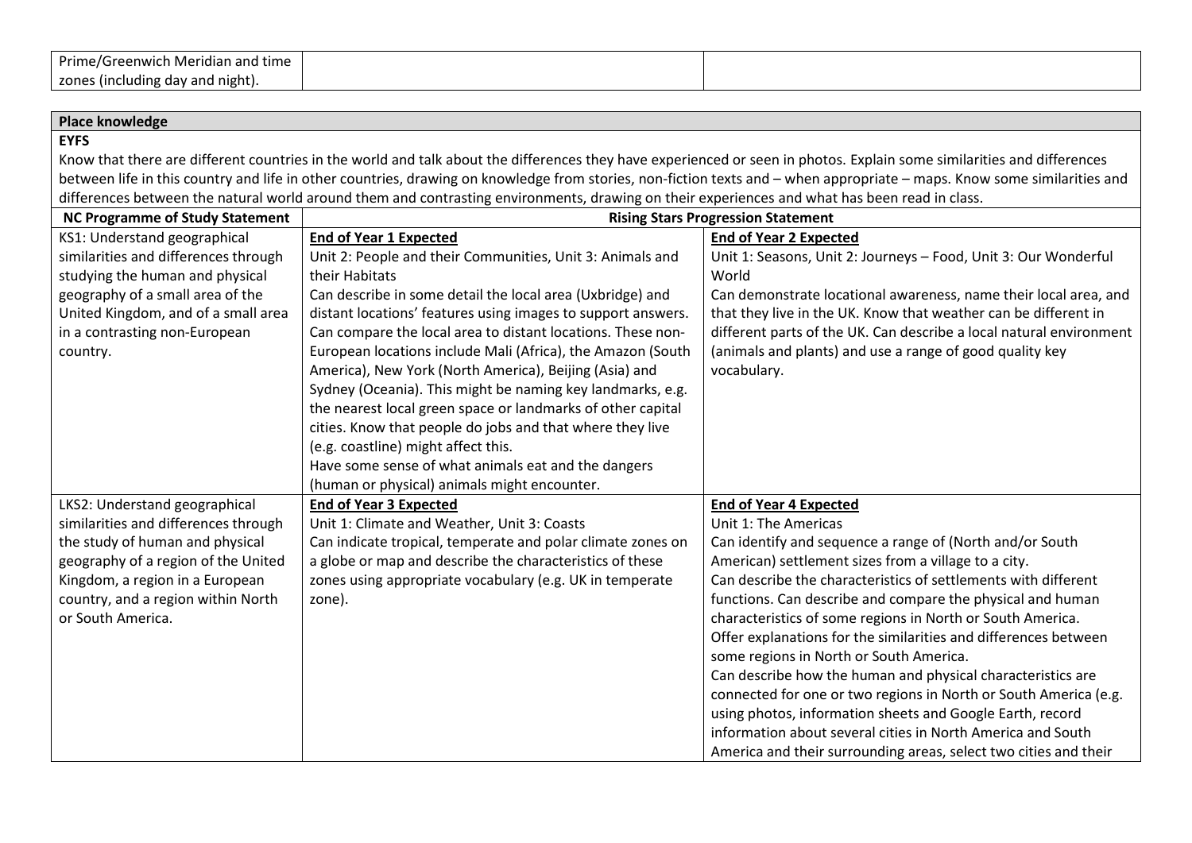| $\cdot$<br>Greenwich Meridian and t<br>' time<br>Prime/<br>וכי י |  |
|------------------------------------------------------------------|--|
| . (Including dav and night). د<br>zone:<br>. .                   |  |

 $\overline{\phantom{0}}$ 

| <b>Place knowledge</b>                 |                                                                                                                                               |                                                                                                                                                                          |  |
|----------------------------------------|-----------------------------------------------------------------------------------------------------------------------------------------------|--------------------------------------------------------------------------------------------------------------------------------------------------------------------------|--|
| <b>EYFS</b>                            |                                                                                                                                               |                                                                                                                                                                          |  |
|                                        |                                                                                                                                               | Know that there are different countries in the world and talk about the differences they have experienced or seen in photos. Explain some similarities and differences   |  |
|                                        |                                                                                                                                               | between life in this country and life in other countries, drawing on knowledge from stories, non-fiction texts and - when appropriate - maps. Know some similarities and |  |
|                                        | differences between the natural world around them and contrasting environments, drawing on their experiences and what has been read in class. |                                                                                                                                                                          |  |
| <b>NC Programme of Study Statement</b> |                                                                                                                                               | <b>Rising Stars Progression Statement</b>                                                                                                                                |  |
| KS1: Understand geographical           | <b>End of Year 1 Expected</b>                                                                                                                 | <b>End of Year 2 Expected</b>                                                                                                                                            |  |
| similarities and differences through   | Unit 2: People and their Communities, Unit 3: Animals and                                                                                     | Unit 1: Seasons, Unit 2: Journeys - Food, Unit 3: Our Wonderful                                                                                                          |  |
| studying the human and physical        | their Habitats                                                                                                                                | World                                                                                                                                                                    |  |
| geography of a small area of the       | Can describe in some detail the local area (Uxbridge) and                                                                                     | Can demonstrate locational awareness, name their local area, and                                                                                                         |  |
| United Kingdom, and of a small area    | distant locations' features using images to support answers.                                                                                  | that they live in the UK. Know that weather can be different in                                                                                                          |  |
| in a contrasting non-European          | Can compare the local area to distant locations. These non-                                                                                   | different parts of the UK. Can describe a local natural environment                                                                                                      |  |
| country.                               | European locations include Mali (Africa), the Amazon (South                                                                                   | (animals and plants) and use a range of good quality key                                                                                                                 |  |
|                                        | America), New York (North America), Beijing (Asia) and                                                                                        | vocabulary.                                                                                                                                                              |  |
|                                        | Sydney (Oceania). This might be naming key landmarks, e.g.                                                                                    |                                                                                                                                                                          |  |
|                                        | the nearest local green space or landmarks of other capital                                                                                   |                                                                                                                                                                          |  |
|                                        | cities. Know that people do jobs and that where they live                                                                                     |                                                                                                                                                                          |  |
|                                        | (e.g. coastline) might affect this.                                                                                                           |                                                                                                                                                                          |  |
|                                        | Have some sense of what animals eat and the dangers                                                                                           |                                                                                                                                                                          |  |
|                                        | (human or physical) animals might encounter.                                                                                                  |                                                                                                                                                                          |  |
| LKS2: Understand geographical          | <b>End of Year 3 Expected</b>                                                                                                                 | <b>End of Year 4 Expected</b>                                                                                                                                            |  |
| similarities and differences through   | Unit 1: Climate and Weather, Unit 3: Coasts                                                                                                   | Unit 1: The Americas                                                                                                                                                     |  |
| the study of human and physical        | Can indicate tropical, temperate and polar climate zones on                                                                                   | Can identify and sequence a range of (North and/or South                                                                                                                 |  |
| geography of a region of the United    | a globe or map and describe the characteristics of these                                                                                      | American) settlement sizes from a village to a city.                                                                                                                     |  |
| Kingdom, a region in a European        | zones using appropriate vocabulary (e.g. UK in temperate                                                                                      | Can describe the characteristics of settlements with different                                                                                                           |  |
| country, and a region within North     | zone).                                                                                                                                        | functions. Can describe and compare the physical and human                                                                                                               |  |
| or South America.                      |                                                                                                                                               | characteristics of some regions in North or South America.                                                                                                               |  |
|                                        |                                                                                                                                               | Offer explanations for the similarities and differences between                                                                                                          |  |
|                                        |                                                                                                                                               | some regions in North or South America.                                                                                                                                  |  |
|                                        |                                                                                                                                               | Can describe how the human and physical characteristics are                                                                                                              |  |
|                                        |                                                                                                                                               | connected for one or two regions in North or South America (e.g.                                                                                                         |  |
|                                        |                                                                                                                                               | using photos, information sheets and Google Earth, record                                                                                                                |  |
|                                        |                                                                                                                                               | information about several cities in North America and South                                                                                                              |  |
|                                        |                                                                                                                                               | America and their surrounding areas, select two cities and their                                                                                                         |  |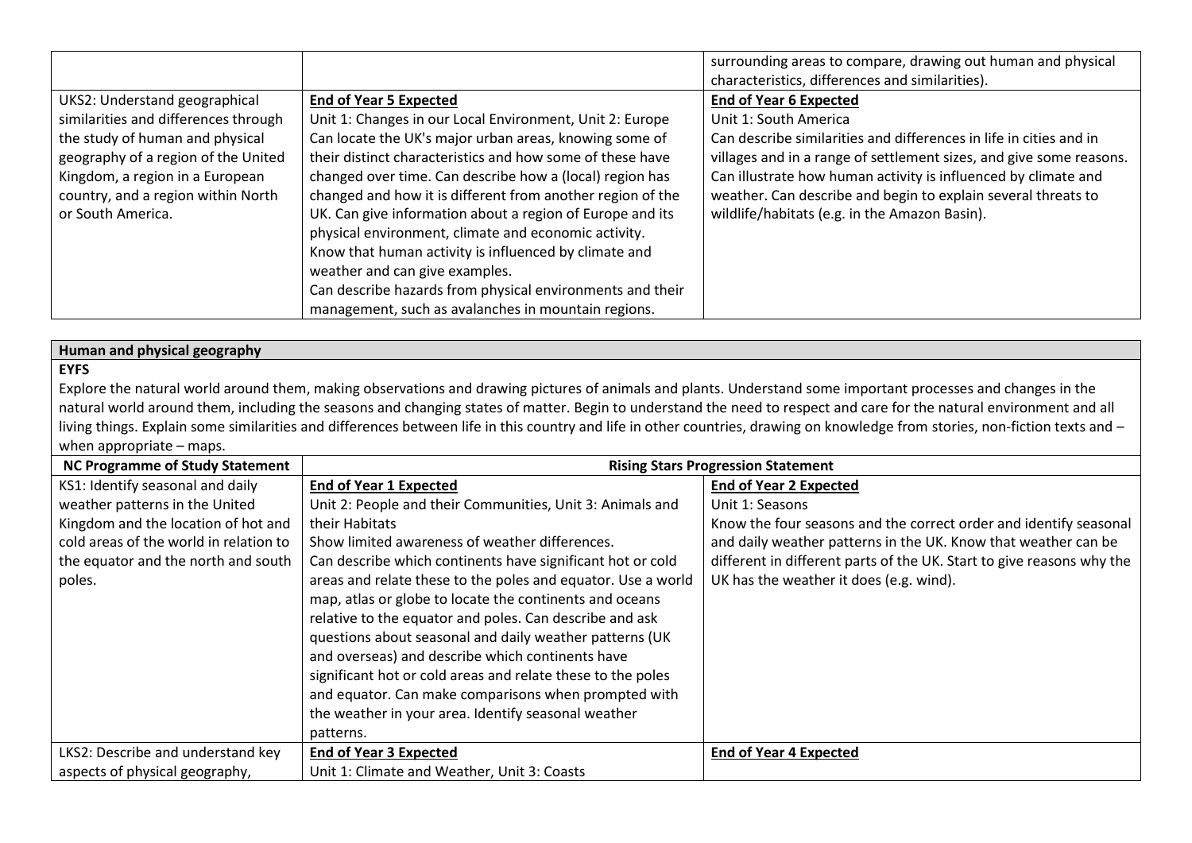|                                      |                                                            | surrounding areas to compare, drawing out human and physical        |
|--------------------------------------|------------------------------------------------------------|---------------------------------------------------------------------|
|                                      |                                                            | characteristics, differences and similarities).                     |
| UKS2: Understand geographical        | <b>End of Year 5 Expected</b>                              | <b>End of Year 6 Expected</b>                                       |
| similarities and differences through | Unit 1: Changes in our Local Environment, Unit 2: Europe   | Unit 1: South America                                               |
| the study of human and physical      | Can locate the UK's major urban areas, knowing some of     | Can describe similarities and differences in life in cities and in  |
| geography of a region of the United  | their distinct characteristics and how some of these have  | villages and in a range of settlement sizes, and give some reasons. |
| Kingdom, a region in a European      | changed over time. Can describe how a (local) region has   | Can illustrate how human activity is influenced by climate and      |
| country, and a region within North   | changed and how it is different from another region of the | weather. Can describe and begin to explain several threats to       |
| or South America.                    | UK. Can give information about a region of Europe and its  | wildlife/habitats (e.g. in the Amazon Basin).                       |
|                                      | physical environment, climate and economic activity.       |                                                                     |
|                                      | Know that human activity is influenced by climate and      |                                                                     |
|                                      | weather and can give examples.                             |                                                                     |
|                                      | Can describe hazards from physical environments and their  |                                                                     |
|                                      | management, such as avalanches in mountain regions.        |                                                                     |

### **Human and physical geography**

#### **EYFS**

Explore the natural world around them, making observations and drawing pictures of animals and plants. Understand some important processes and changes in the natural world around them, including the seasons and changing states of matter. Begin to understand the need to respect and care for the natural environment and all living things. Explain some similarities and differences between life in this country and life in other countries, drawing on knowledge from stories, non-fiction texts and when appropriate – maps.

| <b>NC Programme of Study Statement</b> | <b>Rising Stars Progression Statement</b>                    |                                                                       |
|----------------------------------------|--------------------------------------------------------------|-----------------------------------------------------------------------|
| KS1: Identify seasonal and daily       | <b>End of Year 1 Expected</b>                                | <b>End of Year 2 Expected</b>                                         |
| weather patterns in the United         | Unit 2: People and their Communities, Unit 3: Animals and    | Unit 1: Seasons                                                       |
| Kingdom and the location of hot and    | their Habitats                                               | Know the four seasons and the correct order and identify seasonal     |
| cold areas of the world in relation to | Show limited awareness of weather differences.               | and daily weather patterns in the UK. Know that weather can be        |
| the equator and the north and south    | Can describe which continents have significant hot or cold   | different in different parts of the UK. Start to give reasons why the |
| poles.                                 | areas and relate these to the poles and equator. Use a world | UK has the weather it does (e.g. wind).                               |
|                                        | map, atlas or globe to locate the continents and oceans      |                                                                       |
|                                        | relative to the equator and poles. Can describe and ask      |                                                                       |
|                                        | questions about seasonal and daily weather patterns (UK      |                                                                       |
|                                        | and overseas) and describe which continents have             |                                                                       |
|                                        | significant hot or cold areas and relate these to the poles  |                                                                       |
|                                        | and equator. Can make comparisons when prompted with         |                                                                       |
|                                        | the weather in your area. Identify seasonal weather          |                                                                       |
|                                        | patterns.                                                    |                                                                       |
| LKS2: Describe and understand key      | <b>End of Year 3 Expected</b>                                | <b>End of Year 4 Expected</b>                                         |
| aspects of physical geography,         | Unit 1: Climate and Weather, Unit 3: Coasts                  |                                                                       |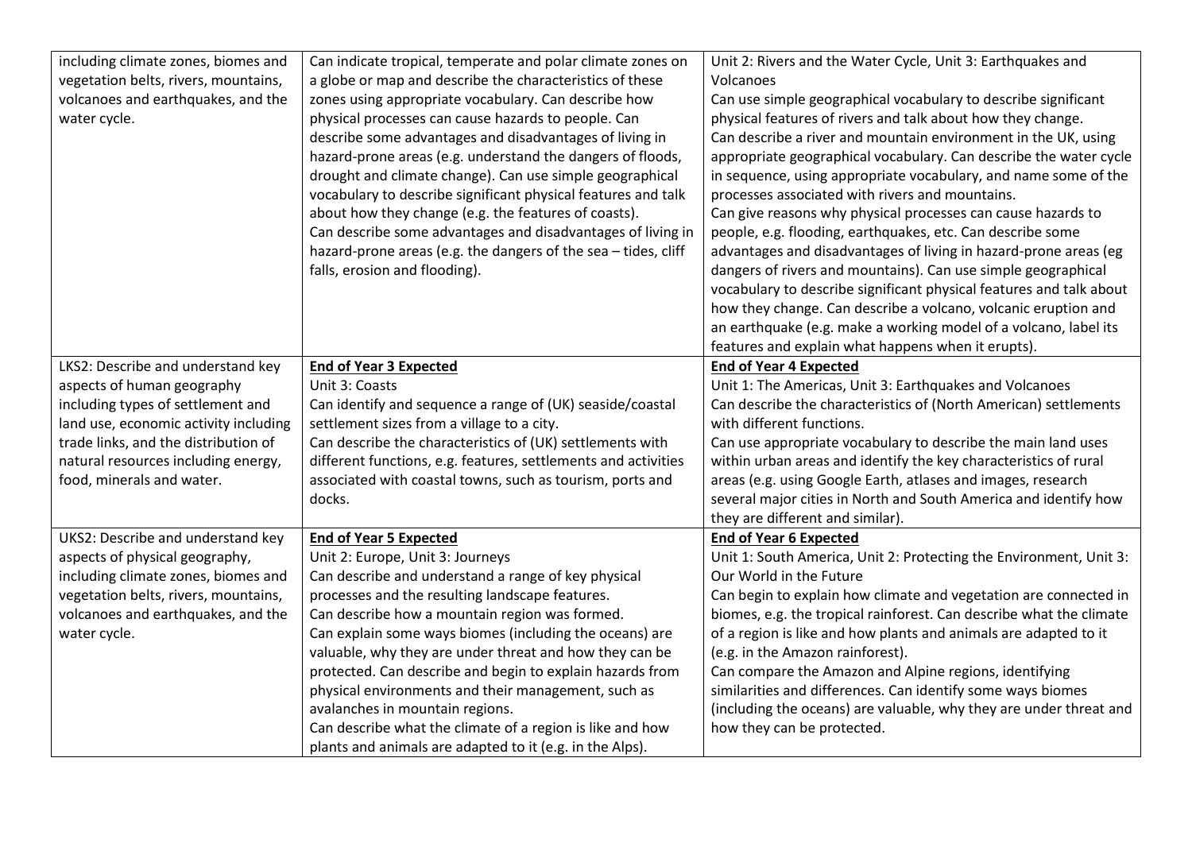| including climate zones, biomes and   | Can indicate tropical, temperate and polar climate zones on    | Unit 2: Rivers and the Water Cycle, Unit 3: Earthquakes and         |
|---------------------------------------|----------------------------------------------------------------|---------------------------------------------------------------------|
| vegetation belts, rivers, mountains,  | a globe or map and describe the characteristics of these       | Volcanoes                                                           |
| volcanoes and earthquakes, and the    | zones using appropriate vocabulary. Can describe how           | Can use simple geographical vocabulary to describe significant      |
| water cycle.                          | physical processes can cause hazards to people. Can            | physical features of rivers and talk about how they change.         |
|                                       | describe some advantages and disadvantages of living in        | Can describe a river and mountain environment in the UK, using      |
|                                       | hazard-prone areas (e.g. understand the dangers of floods,     | appropriate geographical vocabulary. Can describe the water cycle   |
|                                       | drought and climate change). Can use simple geographical       | in sequence, using appropriate vocabulary, and name some of the     |
|                                       | vocabulary to describe significant physical features and talk  | processes associated with rivers and mountains.                     |
|                                       | about how they change (e.g. the features of coasts).           | Can give reasons why physical processes can cause hazards to        |
|                                       | Can describe some advantages and disadvantages of living in    | people, e.g. flooding, earthquakes, etc. Can describe some          |
|                                       | hazard-prone areas (e.g. the dangers of the sea - tides, cliff | advantages and disadvantages of living in hazard-prone areas (eg    |
|                                       | falls, erosion and flooding).                                  | dangers of rivers and mountains). Can use simple geographical       |
|                                       |                                                                | vocabulary to describe significant physical features and talk about |
|                                       |                                                                | how they change. Can describe a volcano, volcanic eruption and      |
|                                       |                                                                | an earthquake (e.g. make a working model of a volcano, label its    |
|                                       |                                                                | features and explain what happens when it erupts).                  |
| LKS2: Describe and understand key     | <b>End of Year 3 Expected</b>                                  | <b>End of Year 4 Expected</b>                                       |
| aspects of human geography            | Unit 3: Coasts                                                 | Unit 1: The Americas, Unit 3: Earthquakes and Volcanoes             |
| including types of settlement and     | Can identify and sequence a range of (UK) seaside/coastal      | Can describe the characteristics of (North American) settlements    |
| land use, economic activity including | settlement sizes from a village to a city.                     | with different functions.                                           |
| trade links, and the distribution of  | Can describe the characteristics of (UK) settlements with      | Can use appropriate vocabulary to describe the main land uses       |
| natural resources including energy,   | different functions, e.g. features, settlements and activities | within urban areas and identify the key characteristics of rural    |
| food, minerals and water.             | associated with coastal towns, such as tourism, ports and      | areas (e.g. using Google Earth, atlases and images, research        |
|                                       | docks.                                                         | several major cities in North and South America and identify how    |
|                                       |                                                                | they are different and similar).                                    |
| UKS2: Describe and understand key     | <b>End of Year 5 Expected</b>                                  | <b>End of Year 6 Expected</b>                                       |
| aspects of physical geography,        | Unit 2: Europe, Unit 3: Journeys                               | Unit 1: South America, Unit 2: Protecting the Environment, Unit 3:  |
| including climate zones, biomes and   | Can describe and understand a range of key physical            | Our World in the Future                                             |
| vegetation belts, rivers, mountains,  | processes and the resulting landscape features.                | Can begin to explain how climate and vegetation are connected in    |
| volcanoes and earthquakes, and the    | Can describe how a mountain region was formed.                 | biomes, e.g. the tropical rainforest. Can describe what the climate |
| water cycle.                          | Can explain some ways biomes (including the oceans) are        | of a region is like and how plants and animals are adapted to it    |
|                                       | valuable, why they are under threat and how they can be        | (e.g. in the Amazon rainforest).                                    |
|                                       | protected. Can describe and begin to explain hazards from      | Can compare the Amazon and Alpine regions, identifying              |
|                                       | physical environments and their management, such as            | similarities and differences. Can identify some ways biomes         |
|                                       | avalanches in mountain regions.                                | (including the oceans) are valuable, why they are under threat and  |
|                                       | Can describe what the climate of a region is like and how      | how they can be protected.                                          |
|                                       | plants and animals are adapted to it (e.g. in the Alps).       |                                                                     |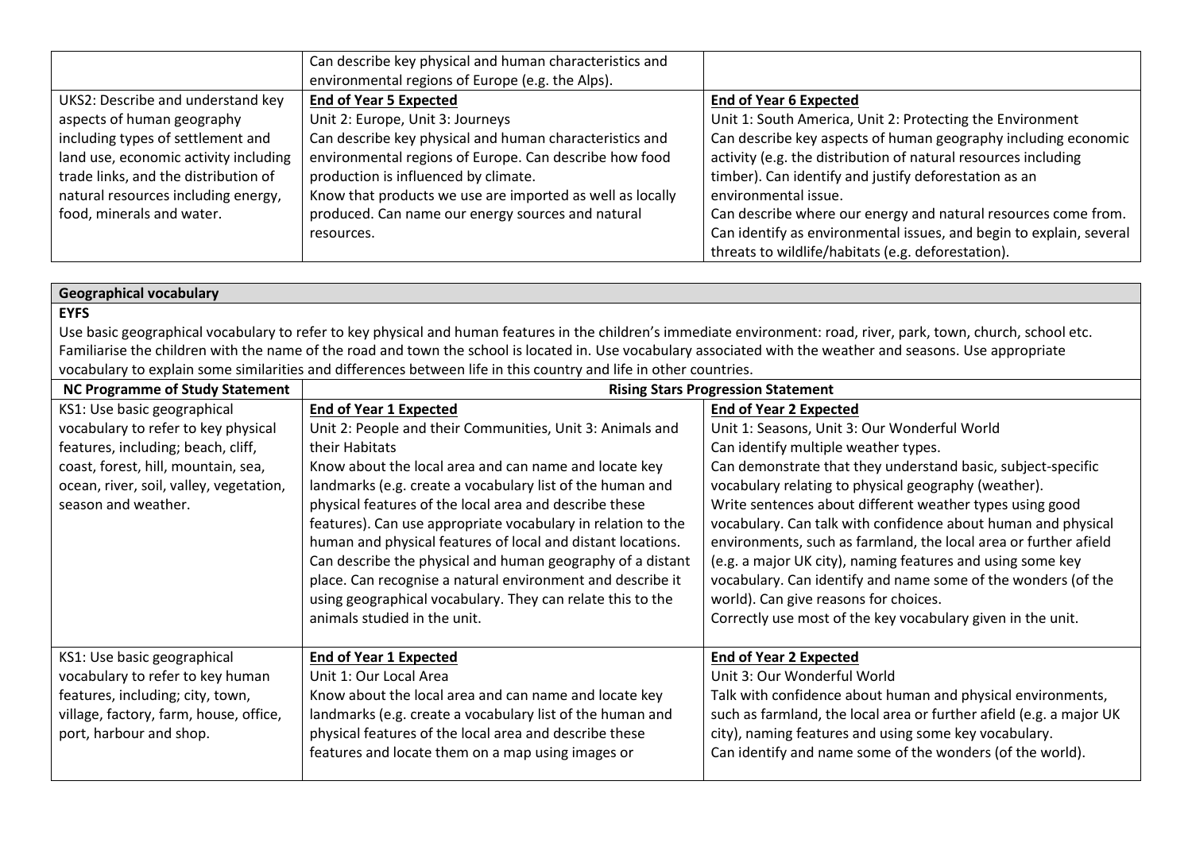|                                       | Can describe key physical and human characteristics and   |                                                                     |
|---------------------------------------|-----------------------------------------------------------|---------------------------------------------------------------------|
|                                       | environmental regions of Europe (e.g. the Alps).          |                                                                     |
| UKS2: Describe and understand key     | <b>End of Year 5 Expected</b>                             | <b>End of Year 6 Expected</b>                                       |
| aspects of human geography            | Unit 2: Europe, Unit 3: Journeys                          | Unit 1: South America, Unit 2: Protecting the Environment           |
| including types of settlement and     | Can describe key physical and human characteristics and   | Can describe key aspects of human geography including economic      |
| land use, economic activity including | environmental regions of Europe. Can describe how food    | activity (e.g. the distribution of natural resources including      |
| trade links, and the distribution of  | production is influenced by climate.                      | timber). Can identify and justify deforestation as an               |
| natural resources including energy,   | Know that products we use are imported as well as locally | environmental issue.                                                |
| food, minerals and water.             | produced. Can name our energy sources and natural         | Can describe where our energy and natural resources come from.      |
|                                       | resources.                                                | Can identify as environmental issues, and begin to explain, several |
|                                       |                                                           | threats to wildlife/habitats (e.g. deforestation).                  |

| <b>Geographical vocabulary</b>          |                                                                                                                                                                     |                                                                     |
|-----------------------------------------|---------------------------------------------------------------------------------------------------------------------------------------------------------------------|---------------------------------------------------------------------|
| <b>EYFS</b>                             |                                                                                                                                                                     |                                                                     |
|                                         | Use basic geographical vocabulary to refer to key physical and human features in the children's immediate environment: road, river, park, town, church, school etc. |                                                                     |
|                                         | Familiarise the children with the name of the road and town the school is located in. Use vocabulary associated with the weather and seasons. Use appropriate       |                                                                     |
|                                         | vocabulary to explain some similarities and differences between life in this country and life in other countries.                                                   |                                                                     |
| <b>NC Programme of Study Statement</b>  |                                                                                                                                                                     | <b>Rising Stars Progression Statement</b>                           |
| KS1: Use basic geographical             | <b>End of Year 1 Expected</b>                                                                                                                                       | <b>End of Year 2 Expected</b>                                       |
| vocabulary to refer to key physical     | Unit 2: People and their Communities, Unit 3: Animals and                                                                                                           | Unit 1: Seasons, Unit 3: Our Wonderful World                        |
| features, including; beach, cliff,      | their Habitats                                                                                                                                                      | Can identify multiple weather types.                                |
| coast, forest, hill, mountain, sea,     | Know about the local area and can name and locate key                                                                                                               | Can demonstrate that they understand basic, subject-specific        |
| ocean, river, soil, valley, vegetation, | landmarks (e.g. create a vocabulary list of the human and                                                                                                           | vocabulary relating to physical geography (weather).                |
| season and weather.                     | physical features of the local area and describe these                                                                                                              | Write sentences about different weather types using good            |
|                                         | features). Can use appropriate vocabulary in relation to the                                                                                                        | vocabulary. Can talk with confidence about human and physical       |
|                                         | human and physical features of local and distant locations.                                                                                                         | environments, such as farmland, the local area or further afield    |
|                                         | Can describe the physical and human geography of a distant                                                                                                          | (e.g. a major UK city), naming features and using some key          |
|                                         | place. Can recognise a natural environment and describe it                                                                                                          | vocabulary. Can identify and name some of the wonders (of the       |
|                                         | using geographical vocabulary. They can relate this to the                                                                                                          | world). Can give reasons for choices.                               |
|                                         | animals studied in the unit.                                                                                                                                        | Correctly use most of the key vocabulary given in the unit.         |
|                                         |                                                                                                                                                                     |                                                                     |
| KS1: Use basic geographical             | <b>End of Year 1 Expected</b>                                                                                                                                       | <b>End of Year 2 Expected</b>                                       |
| vocabulary to refer to key human        | Unit 1: Our Local Area                                                                                                                                              | Unit 3: Our Wonderful World                                         |
| features, including; city, town,        | Know about the local area and can name and locate key                                                                                                               | Talk with confidence about human and physical environments,         |
| village, factory, farm, house, office,  | landmarks (e.g. create a vocabulary list of the human and                                                                                                           | such as farmland, the local area or further afield (e.g. a major UK |
| port, harbour and shop.                 | physical features of the local area and describe these                                                                                                              | city), naming features and using some key vocabulary.               |
|                                         | features and locate them on a map using images or                                                                                                                   | Can identify and name some of the wonders (of the world).           |
|                                         |                                                                                                                                                                     |                                                                     |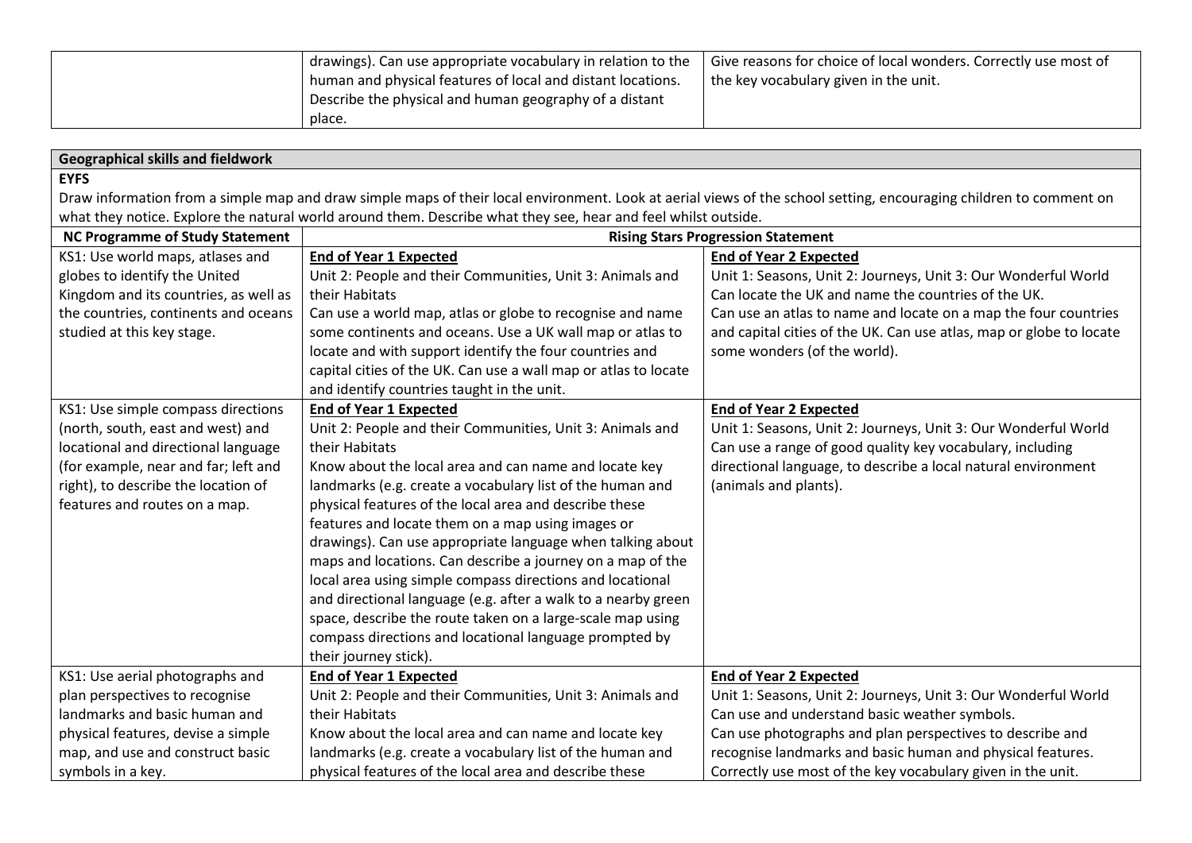| I drawings). Can use appropriate vocabulary in relation to the | Give reasons for choice of local wonders. Correctly use most of |
|----------------------------------------------------------------|-----------------------------------------------------------------|
| I human and physical features of local and distant locations.  | the key vocabulary given in the unit.                           |
| Describe the physical and human geography of a distant         |                                                                 |
| place.                                                         |                                                                 |

# **Geographical skills and fieldwork**

## **EYFS**

Draw information from a simple map and draw simple maps of their local environment. Look at aerial views of the school setting, encouraging children to comment on what they notice. Explore the natural world around them. Describe what they see, hear and feel whilst outside.

| <b>NC Programme of Study Statement</b> | <b>Rising Stars Progression Statement</b>                       |                                                                     |
|----------------------------------------|-----------------------------------------------------------------|---------------------------------------------------------------------|
| KS1: Use world maps, atlases and       | End of Year 1 Expected                                          | <b>End of Year 2 Expected</b>                                       |
| globes to identify the United          | Unit 2: People and their Communities, Unit 3: Animals and       | Unit 1: Seasons, Unit 2: Journeys, Unit 3: Our Wonderful World      |
| Kingdom and its countries, as well as  | their Habitats                                                  | Can locate the UK and name the countries of the UK.                 |
| the countries, continents and oceans   | Can use a world map, atlas or globe to recognise and name       | Can use an atlas to name and locate on a map the four countries     |
| studied at this key stage.             | some continents and oceans. Use a UK wall map or atlas to       | and capital cities of the UK. Can use atlas, map or globe to locate |
|                                        | locate and with support identify the four countries and         | some wonders (of the world).                                        |
|                                        | capital cities of the UK. Can use a wall map or atlas to locate |                                                                     |
|                                        | and identify countries taught in the unit.                      |                                                                     |
| KS1: Use simple compass directions     | <b>End of Year 1 Expected</b>                                   | <b>End of Year 2 Expected</b>                                       |
| (north, south, east and west) and      | Unit 2: People and their Communities, Unit 3: Animals and       | Unit 1: Seasons, Unit 2: Journeys, Unit 3: Our Wonderful World      |
| locational and directional language    | their Habitats                                                  | Can use a range of good quality key vocabulary, including           |
| (for example, near and far; left and   | Know about the local area and can name and locate key           | directional language, to describe a local natural environment       |
| right), to describe the location of    | landmarks (e.g. create a vocabulary list of the human and       | (animals and plants).                                               |
| features and routes on a map.          | physical features of the local area and describe these          |                                                                     |
|                                        | features and locate them on a map using images or               |                                                                     |
|                                        | drawings). Can use appropriate language when talking about      |                                                                     |
|                                        | maps and locations. Can describe a journey on a map of the      |                                                                     |
|                                        | local area using simple compass directions and locational       |                                                                     |
|                                        | and directional language (e.g. after a walk to a nearby green   |                                                                     |
|                                        | space, describe the route taken on a large-scale map using      |                                                                     |
|                                        | compass directions and locational language prompted by          |                                                                     |
|                                        | their journey stick).                                           |                                                                     |
| KS1: Use aerial photographs and        | <b>End of Year 1 Expected</b>                                   | <b>End of Year 2 Expected</b>                                       |
| plan perspectives to recognise         | Unit 2: People and their Communities, Unit 3: Animals and       | Unit 1: Seasons, Unit 2: Journeys, Unit 3: Our Wonderful World      |
| landmarks and basic human and          | their Habitats                                                  | Can use and understand basic weather symbols.                       |
| physical features, devise a simple     | Know about the local area and can name and locate key           | Can use photographs and plan perspectives to describe and           |
| map, and use and construct basic       | landmarks (e.g. create a vocabulary list of the human and       | recognise landmarks and basic human and physical features.          |
| symbols in a key.                      | physical features of the local area and describe these          | Correctly use most of the key vocabulary given in the unit.         |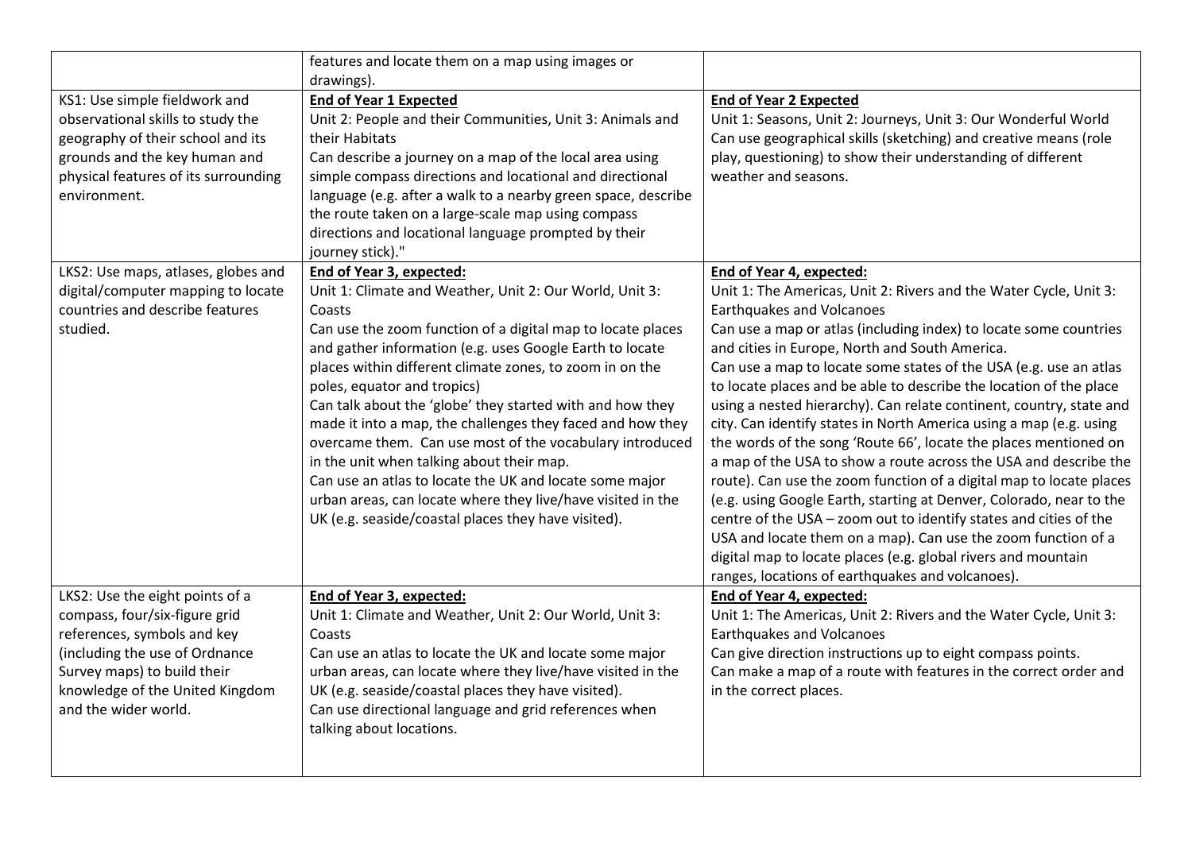|                                                                       | features and locate them on a map using images or                 |                                                                                                       |
|-----------------------------------------------------------------------|-------------------------------------------------------------------|-------------------------------------------------------------------------------------------------------|
|                                                                       | drawings).                                                        |                                                                                                       |
| KS1: Use simple fieldwork and                                         | <b>End of Year 1 Expected</b>                                     | <b>End of Year 2 Expected</b>                                                                         |
| observational skills to study the                                     | Unit 2: People and their Communities, Unit 3: Animals and         | Unit 1: Seasons, Unit 2: Journeys, Unit 3: Our Wonderful World                                        |
| geography of their school and its                                     | their Habitats                                                    | Can use geographical skills (sketching) and creative means (role                                      |
| grounds and the key human and                                         | Can describe a journey on a map of the local area using           | play, questioning) to show their understanding of different                                           |
| physical features of its surrounding                                  | simple compass directions and locational and directional          | weather and seasons.                                                                                  |
| environment.                                                          | language (e.g. after a walk to a nearby green space, describe     |                                                                                                       |
|                                                                       | the route taken on a large-scale map using compass                |                                                                                                       |
|                                                                       | directions and locational language prompted by their              |                                                                                                       |
|                                                                       | journey stick)."                                                  |                                                                                                       |
| LKS2: Use maps, atlases, globes and                                   | <b>End of Year 3, expected:</b>                                   | End of Year 4, expected:                                                                              |
| digital/computer mapping to locate<br>countries and describe features | Unit 1: Climate and Weather, Unit 2: Our World, Unit 3:<br>Coasts | Unit 1: The Americas, Unit 2: Rivers and the Water Cycle, Unit 3:<br><b>Earthquakes and Volcanoes</b> |
| studied.                                                              | Can use the zoom function of a digital map to locate places       | Can use a map or atlas (including index) to locate some countries                                     |
|                                                                       | and gather information (e.g. uses Google Earth to locate          | and cities in Europe, North and South America.                                                        |
|                                                                       | places within different climate zones, to zoom in on the          | Can use a map to locate some states of the USA (e.g. use an atlas                                     |
|                                                                       | poles, equator and tropics)                                       | to locate places and be able to describe the location of the place                                    |
|                                                                       | Can talk about the 'globe' they started with and how they         | using a nested hierarchy). Can relate continent, country, state and                                   |
|                                                                       | made it into a map, the challenges they faced and how they        | city. Can identify states in North America using a map (e.g. using                                    |
|                                                                       | overcame them. Can use most of the vocabulary introduced          | the words of the song 'Route 66', locate the places mentioned on                                      |
|                                                                       | in the unit when talking about their map.                         | a map of the USA to show a route across the USA and describe the                                      |
|                                                                       | Can use an atlas to locate the UK and locate some major           | route). Can use the zoom function of a digital map to locate places                                   |
|                                                                       | urban areas, can locate where they live/have visited in the       | (e.g. using Google Earth, starting at Denver, Colorado, near to the                                   |
|                                                                       | UK (e.g. seaside/coastal places they have visited).               | centre of the USA - zoom out to identify states and cities of the                                     |
|                                                                       |                                                                   | USA and locate them on a map). Can use the zoom function of a                                         |
|                                                                       |                                                                   | digital map to locate places (e.g. global rivers and mountain                                         |
|                                                                       |                                                                   | ranges, locations of earthquakes and volcanoes).                                                      |
| LKS2: Use the eight points of a                                       | End of Year 3, expected:                                          | End of Year 4, expected:                                                                              |
| compass, four/six-figure grid                                         | Unit 1: Climate and Weather, Unit 2: Our World, Unit 3:           | Unit 1: The Americas, Unit 2: Rivers and the Water Cycle, Unit 3:                                     |
| references, symbols and key                                           | Coasts                                                            | <b>Earthquakes and Volcanoes</b>                                                                      |
| (including the use of Ordnance                                        | Can use an atlas to locate the UK and locate some major           | Can give direction instructions up to eight compass points.                                           |
| Survey maps) to build their                                           | urban areas, can locate where they live/have visited in the       | Can make a map of a route with features in the correct order and                                      |
| knowledge of the United Kingdom                                       | UK (e.g. seaside/coastal places they have visited).               | in the correct places.                                                                                |
| and the wider world.                                                  | Can use directional language and grid references when             |                                                                                                       |
|                                                                       | talking about locations.                                          |                                                                                                       |
|                                                                       |                                                                   |                                                                                                       |
|                                                                       |                                                                   |                                                                                                       |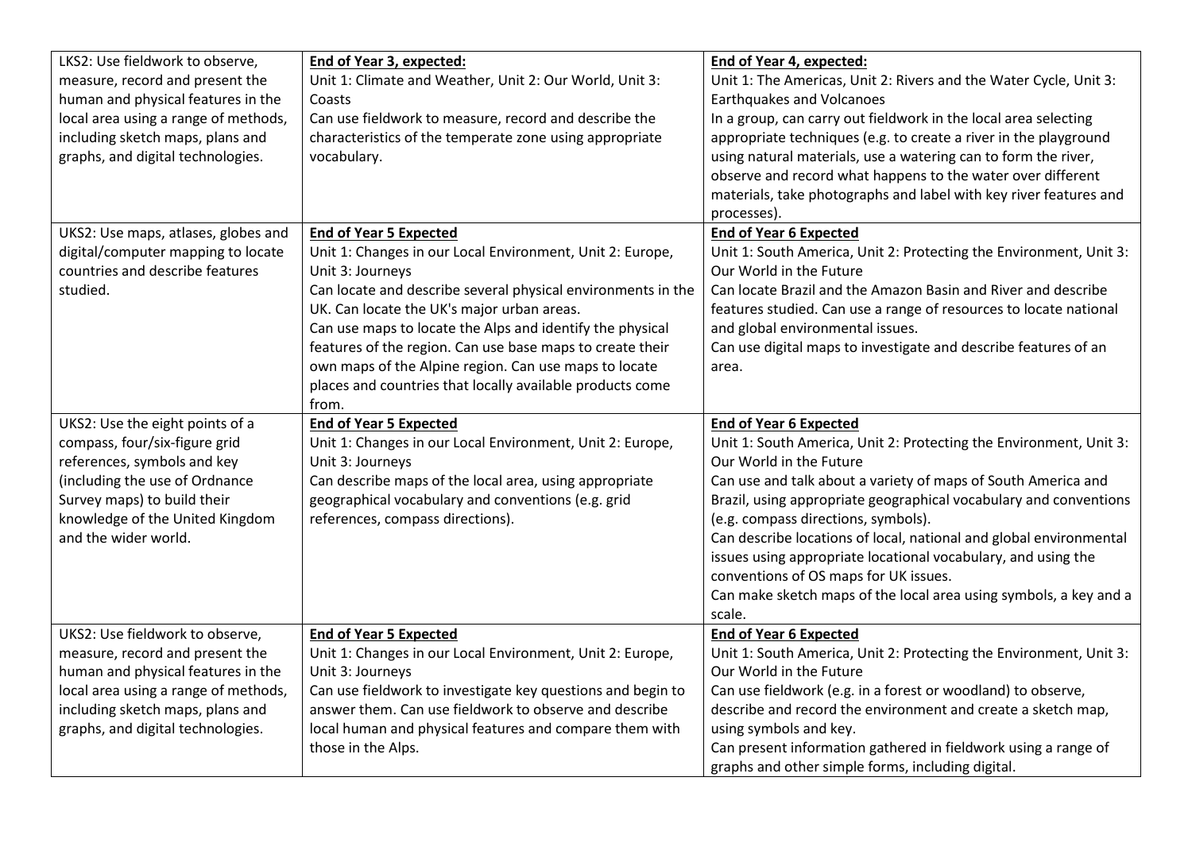| LKS2: Use fieldwork to observe,      | End of Year 3, expected:                                     | End of Year 4, expected:                                                                                            |
|--------------------------------------|--------------------------------------------------------------|---------------------------------------------------------------------------------------------------------------------|
| measure, record and present the      | Unit 1: Climate and Weather, Unit 2: Our World, Unit 3:      | Unit 1: The Americas, Unit 2: Rivers and the Water Cycle, Unit 3:                                                   |
| human and physical features in the   | Coasts                                                       | <b>Earthquakes and Volcanoes</b>                                                                                    |
| local area using a range of methods, | Can use fieldwork to measure, record and describe the        | In a group, can carry out fieldwork in the local area selecting                                                     |
| including sketch maps, plans and     | characteristics of the temperate zone using appropriate      | appropriate techniques (e.g. to create a river in the playground                                                    |
| graphs, and digital technologies.    | vocabulary.                                                  | using natural materials, use a watering can to form the river,                                                      |
|                                      |                                                              | observe and record what happens to the water over different                                                         |
|                                      |                                                              | materials, take photographs and label with key river features and                                                   |
|                                      |                                                              | processes).                                                                                                         |
| UKS2: Use maps, atlases, globes and  | <b>End of Year 5 Expected</b>                                | <b>End of Year 6 Expected</b>                                                                                       |
| digital/computer mapping to locate   | Unit 1: Changes in our Local Environment, Unit 2: Europe,    | Unit 1: South America, Unit 2: Protecting the Environment, Unit 3:                                                  |
| countries and describe features      | Unit 3: Journeys                                             | Our World in the Future                                                                                             |
| studied.                             | Can locate and describe several physical environments in the | Can locate Brazil and the Amazon Basin and River and describe                                                       |
|                                      | UK. Can locate the UK's major urban areas.                   | features studied. Can use a range of resources to locate national                                                   |
|                                      | Can use maps to locate the Alps and identify the physical    | and global environmental issues.                                                                                    |
|                                      | features of the region. Can use base maps to create their    | Can use digital maps to investigate and describe features of an                                                     |
|                                      | own maps of the Alpine region. Can use maps to locate        | area.                                                                                                               |
|                                      | places and countries that locally available products come    |                                                                                                                     |
|                                      | from.                                                        |                                                                                                                     |
|                                      |                                                              |                                                                                                                     |
| UKS2: Use the eight points of a      | <b>End of Year 5 Expected</b>                                | <b>End of Year 6 Expected</b>                                                                                       |
| compass, four/six-figure grid        | Unit 1: Changes in our Local Environment, Unit 2: Europe,    | Unit 1: South America, Unit 2: Protecting the Environment, Unit 3:                                                  |
| references, symbols and key          | Unit 3: Journeys                                             | Our World in the Future                                                                                             |
| (including the use of Ordnance       | Can describe maps of the local area, using appropriate       | Can use and talk about a variety of maps of South America and                                                       |
| Survey maps) to build their          | geographical vocabulary and conventions (e.g. grid           | Brazil, using appropriate geographical vocabulary and conventions                                                   |
| knowledge of the United Kingdom      | references, compass directions).                             | (e.g. compass directions, symbols).                                                                                 |
| and the wider world.                 |                                                              | Can describe locations of local, national and global environmental                                                  |
|                                      |                                                              | issues using appropriate locational vocabulary, and using the                                                       |
|                                      |                                                              | conventions of OS maps for UK issues.                                                                               |
|                                      |                                                              | Can make sketch maps of the local area using symbols, a key and a                                                   |
|                                      |                                                              | scale.                                                                                                              |
| UKS2: Use fieldwork to observe,      | <b>End of Year 5 Expected</b>                                | <b>End of Year 6 Expected</b>                                                                                       |
| measure, record and present the      | Unit 1: Changes in our Local Environment, Unit 2: Europe,    | Unit 1: South America, Unit 2: Protecting the Environment, Unit 3:                                                  |
| human and physical features in the   | Unit 3: Journeys                                             | Our World in the Future                                                                                             |
| local area using a range of methods, | Can use fieldwork to investigate key questions and begin to  | Can use fieldwork (e.g. in a forest or woodland) to observe,                                                        |
| including sketch maps, plans and     | answer them. Can use fieldwork to observe and describe       | describe and record the environment and create a sketch map,                                                        |
| graphs, and digital technologies.    | local human and physical features and compare them with      | using symbols and key.                                                                                              |
|                                      | those in the Alps.                                           | Can present information gathered in fieldwork using a range of<br>graphs and other simple forms, including digital. |